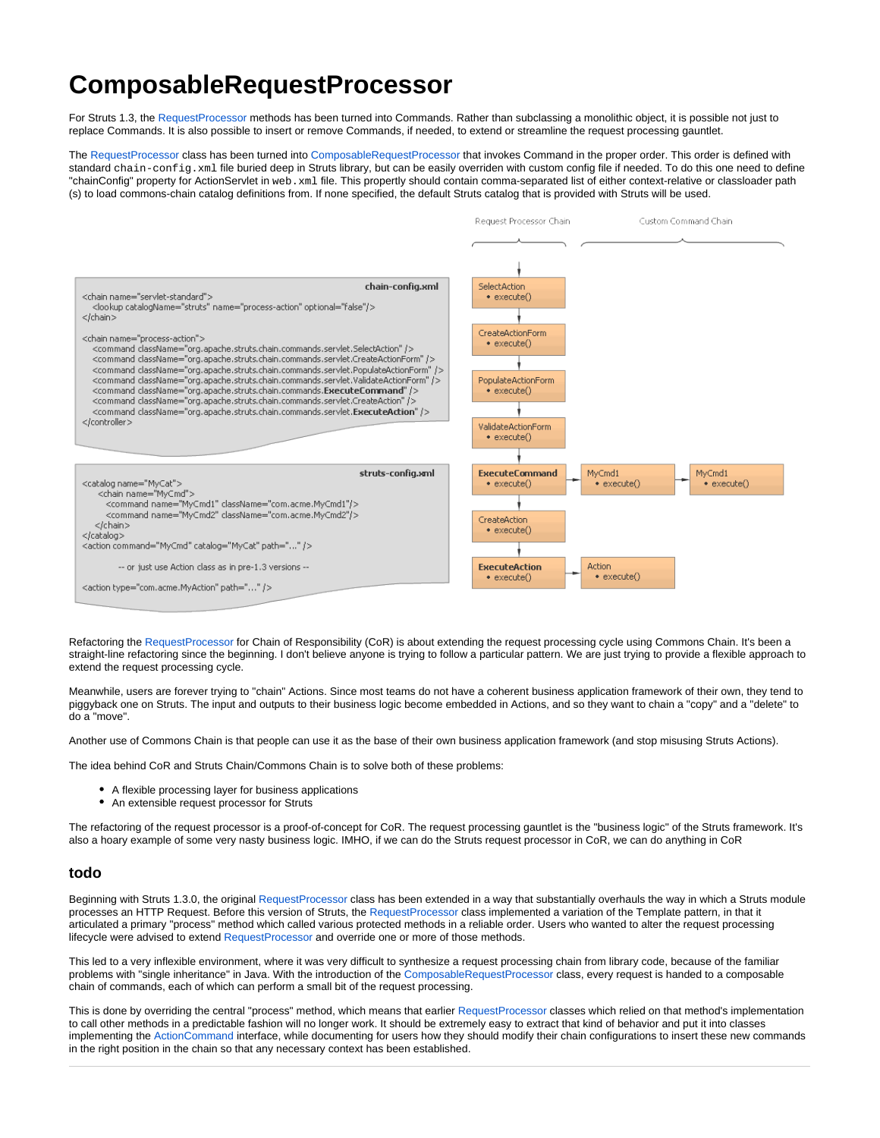## <span id="page-0-0"></span>**ComposableRequestProcessor**

For Struts 1.3, the [RequestProcessor](https://cwiki.apache.org/confluence/display/WW/RequestProcessor) methods has been turned into Commands. Rather than subclassing a monolithic object, it is possible not just to replace Commands. It is also possible to insert or remove Commands, if needed, to extend or streamline the request processing gauntlet.

The [RequestProcessor](https://cwiki.apache.org/confluence/display/WW/RequestProcessor) class has been turned into [ComposableRequestProcessor](#page-0-0) that invokes Command in the proper order. This order is defined with standard chain-config.xml file buried deep in Struts library, but can be easily overriden with custom config file if needed. To do this one need to define "chainConfig" property for ActionServlet in web.xml file. This propertly should contain comma-separated list of either context-relative or classloader path (s) to load commons-chain catalog definitions from. If none specified, the default Struts catalog that is provided with Struts will be used.



Refactoring the [RequestProcessor](https://cwiki.apache.org/confluence/display/WW/RequestProcessor) for Chain of Responsibility (CoR) is about extending the request processing cycle using Commons Chain. It's been a straight-line refactoring since the beginning. I don't believe anyone is trying to follow a particular pattern. We are just trying to provide a flexible approach to extend the request processing cycle.

Meanwhile, users are forever trying to "chain" Actions. Since most teams do not have a coherent business application framework of their own, they tend to piggyback one on Struts. The input and outputs to their business logic become embedded in Actions, and so they want to chain a "copy" and a "delete" to do a "move".

Another use of Commons Chain is that people can use it as the base of their own business application framework (and stop misusing Struts Actions).

The idea behind CoR and Struts Chain/Commons Chain is to solve both of these problems:

- A flexible processing layer for business applications
- An extensible request processor for Struts

The refactoring of the request processor is a proof-of-concept for CoR. The request processing gauntlet is the "business logic" of the Struts framework. It's also a hoary example of some very nasty business logic. IMHO, if we can do the Struts request processor in CoR, we can do anything in CoR

## **todo**

Beginning with Struts 1.3.0, the original [RequestProcessor](https://cwiki.apache.org/confluence/display/WW/RequestProcessor) class has been extended in a way that substantially overhauls the way in which a Struts module processes an HTTP Request. Before this version of Struts, the [RequestProcessor](https://cwiki.apache.org/confluence/display/WW/RequestProcessor) class implemented a variation of the Template pattern, in that it articulated a primary "process" method which called various protected methods in a reliable order. Users who wanted to alter the request processing lifecycle were advised to extend [RequestProcessor](https://cwiki.apache.org/confluence/display/WW/RequestProcessor) and override one or more of those methods.

This led to a very inflexible environment, where it was very difficult to synthesize a request processing chain from library code, because of the familiar problems with "single inheritance" in Java. With the introduction of the [ComposableRequestProcessor](#page-0-0) class, every request is handed to a composable chain of commands, each of which can perform a small bit of the request processing.

This is done by overriding the central "process" method, which means that earlier [RequestProcessor](https://cwiki.apache.org/confluence/display/WW/RequestProcessor) classes which relied on that method's implementation to call other methods in a predictable fashion will no longer work. It should be extremely easy to extract that kind of behavior and put it into classes implementing the ActionCommand interface, while documenting for users how they should modify their chain configurations to insert these new commands in the right position in the chain so that any necessary context has been established.